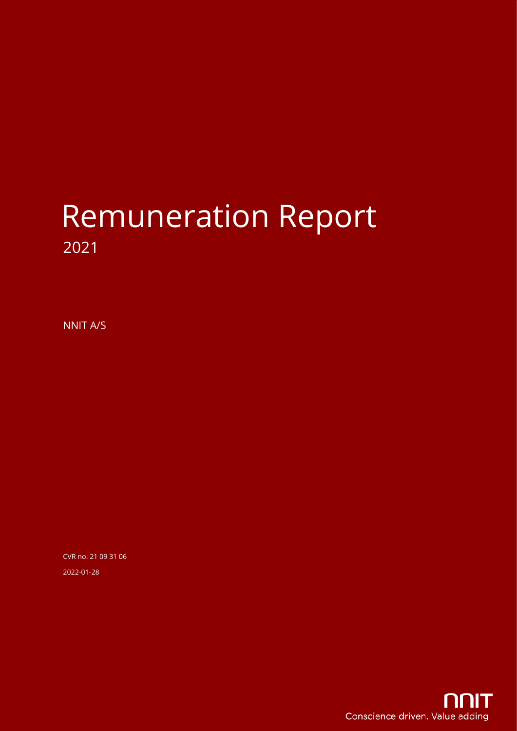# Remuneration Report 2021

NNIT A/S

CVR no. 21 09 31 06 2022-01-28

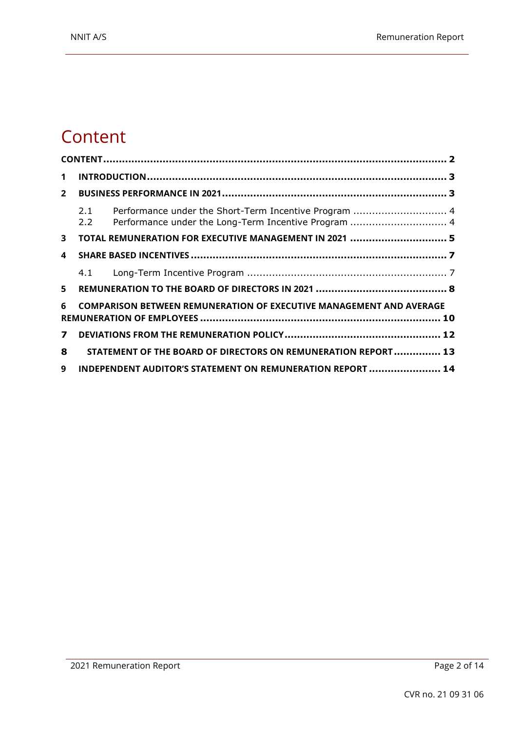#### <span id="page-1-0"></span>**Content**

| 1            |                                                                                                                             |  |
|--------------|-----------------------------------------------------------------------------------------------------------------------------|--|
| $2^{\circ}$  |                                                                                                                             |  |
|              | Performance under the Short-Term Incentive Program  4<br>2.1<br>Performance under the Long-Term Incentive Program  4<br>2.2 |  |
| 3            | TOTAL REMUNERATION FOR EXECUTIVE MANAGEMENT IN 2021  5                                                                      |  |
| 4            |                                                                                                                             |  |
|              | 4.1                                                                                                                         |  |
| 5            |                                                                                                                             |  |
| 6            | <b>COMPARISON BETWEEN REMUNERATION OF EXECUTIVE MANAGEMENT AND AVERAGE</b>                                                  |  |
| $\mathbf{z}$ |                                                                                                                             |  |
| 8            | STATEMENT OF THE BOARD OF DIRECTORS ON REMUNERATION REPORT 13                                                               |  |
| 9            | INDEPENDENT AUDITOR'S STATEMENT ON REMUNERATION REPORT  14                                                                  |  |
|              |                                                                                                                             |  |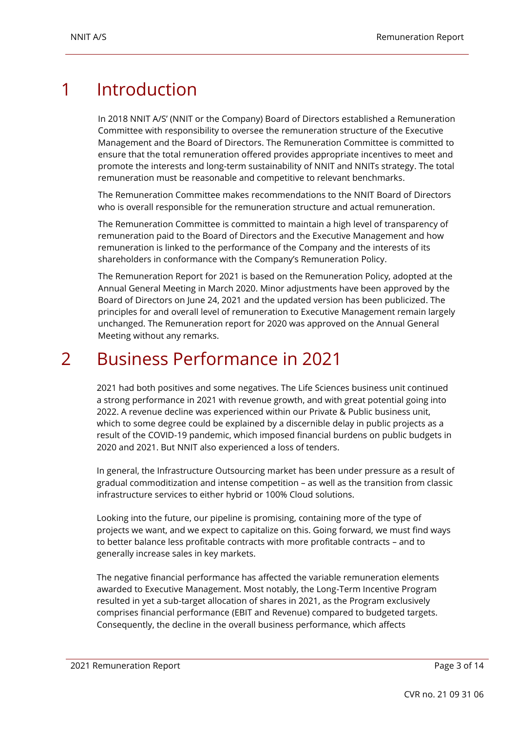### <span id="page-2-0"></span>1 Introduction

In 2018 NNIT A/S' (NNIT or the Company) Board of Directors established a Remuneration Committee with responsibility to oversee the remuneration structure of the Executive Management and the Board of Directors. The Remuneration Committee is committed to ensure that the total remuneration offered provides appropriate incentives to meet and promote the interests and long-term sustainability of NNIT and NNITs strategy. The total remuneration must be reasonable and competitive to relevant benchmarks.

The Remuneration Committee makes recommendations to the NNIT Board of Directors who is overall responsible for the remuneration structure and actual remuneration.

The Remuneration Committee is committed to maintain a high level of transparency of remuneration paid to the Board of Directors and the Executive Management and how remuneration is linked to the performance of the Company and the interests of its shareholders in conformance with the Company's Remuneration Policy.

The Remuneration Report for 2021 is based on the Remuneration Policy, adopted at the Annual General Meeting in March 2020. Minor adjustments have been approved by the Board of Directors on June 24, 2021 and the updated version has been publicized. The principles for and overall level of remuneration to Executive Management remain largely unchanged. The Remuneration report for 2020 was approved on the Annual General Meeting without any remarks.

#### <span id="page-2-1"></span>2 Business Performance in 2021

2021 had both positives and some negatives. The Life Sciences business unit continued a strong performance in 2021 with revenue growth, and with great potential going into 2022. A revenue decline was experienced within our Private & Public business unit, which to some degree could be explained by a discernible delay in public projects as a result of the COVID-19 pandemic, which imposed financial burdens on public budgets in 2020 and 2021. But NNIT also experienced a loss of tenders.

In general, the Infrastructure Outsourcing market has been under pressure as a result of gradual commoditization and intense competition – as well as the transition from classic infrastructure services to either hybrid or 100% Cloud solutions.

Looking into the future, our pipeline is promising, containing more of the type of projects we want, and we expect to capitalize on this. Going forward, we must find ways to better balance less profitable contracts with more profitable contracts – and to generally increase sales in key markets.

The negative financial performance has affected the variable remuneration elements awarded to Executive Management. Most notably, the Long-Term Incentive Program resulted in yet a sub-target allocation of shares in 2021, as the Program exclusively comprises financial performance (EBIT and Revenue) compared to budgeted targets. Consequently, the decline in the overall business performance, which affects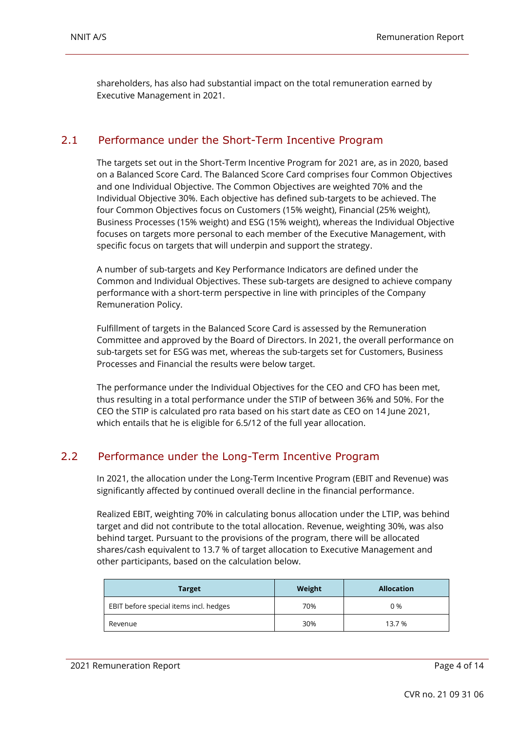shareholders, has also had substantial impact on the total remuneration earned by Executive Management in 2021.

#### <span id="page-3-0"></span>2.1 Performance under the Short-Term Incentive Program

The targets set out in the Short-Term Incentive Program for 2021 are, as in 2020, based on a Balanced Score Card. The Balanced Score Card comprises four Common Objectives and one Individual Objective. The Common Objectives are weighted 70% and the Individual Objective 30%. Each objective has defined sub-targets to be achieved. The four Common Objectives focus on Customers (15% weight), Financial (25% weight), Business Processes (15% weight) and ESG (15% weight), whereas the Individual Objective focuses on targets more personal to each member of the Executive Management, with specific focus on targets that will underpin and support the strategy.

A number of sub-targets and Key Performance Indicators are defined under the Common and Individual Objectives. These sub-targets are designed to achieve company performance with a short-term perspective in line with principles of the Company Remuneration Policy.

Fulfillment of targets in the Balanced Score Card is assessed by the Remuneration Committee and approved by the Board of Directors. In 2021, the overall performance on sub-targets set for ESG was met, whereas the sub-targets set for Customers, Business Processes and Financial the results were below target.

The performance under the Individual Objectives for the CEO and CFO has been met, thus resulting in a total performance under the STIP of between 36% and 50%. For the CEO the STIP is calculated pro rata based on his start date as CEO on 14 June 2021, which entails that he is eligible for 6.5/12 of the full year allocation.

#### <span id="page-3-1"></span>2.2 Performance under the Long-Term Incentive Program

In 2021, the allocation under the Long-Term Incentive Program (EBIT and Revenue) was significantly affected by continued overall decline in the financial performance.

Realized EBIT, weighting 70% in calculating bonus allocation under the LTIP, was behind target and did not contribute to the total allocation. Revenue, weighting 30%, was also behind target. Pursuant to the provisions of the program, there will be allocated shares/cash equivalent to 13.7 % of target allocation to Executive Management and other participants, based on the calculation below.

| <b>Target</b>                          | Weight | <b>Allocation</b> |
|----------------------------------------|--------|-------------------|
| EBIT before special items incl. hedges | 70%    | 0%                |
| Revenue                                | 30%    | 13.7 %            |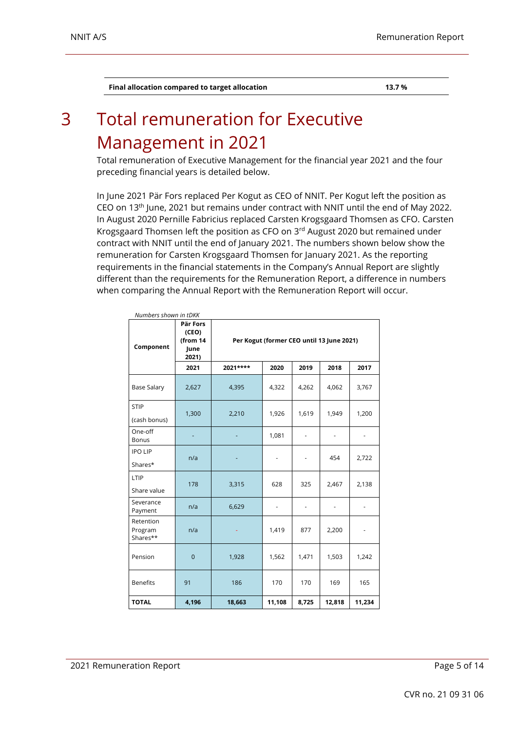**Final allocation compared to target allocation 13.7 %**

### <span id="page-4-0"></span>3 Total remuneration for Executive Management in 2021

Total remuneration of Executive Management for the financial year 2021 and the four preceding financial years is detailed below.

In June 2021 Pär Fors replaced Per Kogut as CEO of NNIT. Per Kogut left the position as CEO on 13th June, 2021 but remains under contract with NNIT until the end of May 2022. In August 2020 Pernille Fabricius replaced Carsten Krogsgaard Thomsen as CFO. Carsten Krogsgaard Thomsen left the position as CFO on 3rd August 2020 but remained under contract with NNIT until the end of January 2021. The numbers shown below show the remuneration for Carsten Krogsgaard Thomsen for January 2021. As the reporting requirements in the financial statements in the Company's Annual Report are slightly different than the requirements for the Remuneration Report, a difference in numbers when comparing the Annual Report with the Remuneration Report will occur.

| Numbers shown in tDKK            |                                                                                             |          |                          |                          |        |               |  |  |  |
|----------------------------------|---------------------------------------------------------------------------------------------|----------|--------------------------|--------------------------|--------|---------------|--|--|--|
| Component                        | Pär Fors<br>(CEO)<br>(from 14<br>Per Kogut (former CEO until 13 June 2021)<br>June<br>2021) |          |                          |                          |        |               |  |  |  |
|                                  | 2021                                                                                        | 2021**** | 2020                     | 2019                     | 2018   | 2017          |  |  |  |
| <b>Base Salary</b>               | 2,627                                                                                       | 4,395    | 4,322                    | 4,262                    | 4,062  | 3,767         |  |  |  |
| <b>STIP</b><br>(cash bonus)      | 1,300                                                                                       | 2,210    | 1,926                    | 1,619                    | 1,949  | 1,200         |  |  |  |
| One-off<br><b>Bonus</b>          | ٠                                                                                           |          | 1,081                    | $\overline{\phantom{a}}$ | ٠      |               |  |  |  |
| <b>IPO LIP</b><br>Shares*        | n/a                                                                                         |          | $\overline{\phantom{a}}$ | $\overline{\phantom{a}}$ | 454    | 2,722         |  |  |  |
| LTIP<br>Share value              | 178                                                                                         | 3,315    | 628                      | 325                      | 2,467  | 2,138         |  |  |  |
| Severance<br>Payment             | n/a                                                                                         | 6,629    | $\blacksquare$           | $\overline{\phantom{a}}$ | ٠      | -             |  |  |  |
| Retention<br>Program<br>Shares** | n/a                                                                                         |          | 1,419                    | 877                      | 2,200  | $\frac{1}{2}$ |  |  |  |
| Pension                          | $\mathbf 0$                                                                                 | 1,928    | 1,562                    | 1,471                    | 1,503  | 1,242         |  |  |  |
| <b>Benefits</b>                  | 91                                                                                          | 186      | 170                      | 170                      | 169    | 165           |  |  |  |
| <b>TOTAL</b>                     | 4,196                                                                                       | 18,663   | 11,108                   | 8,725                    | 12,818 | 11,234        |  |  |  |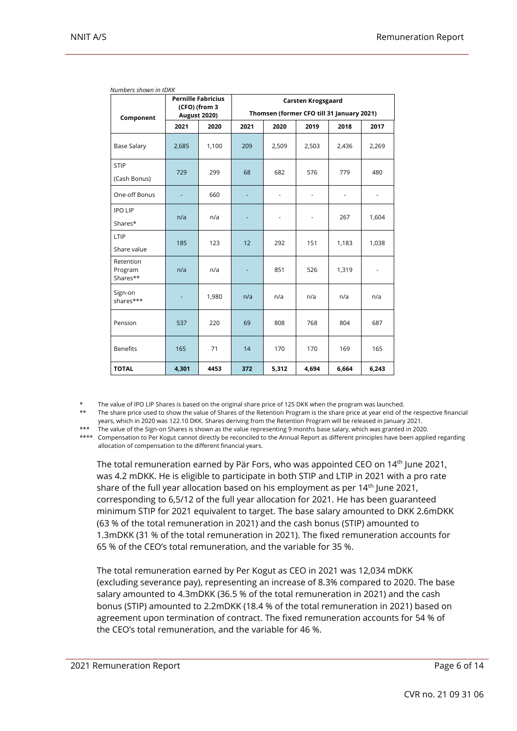|                                  | (CFO) (from 3 | <b>Pernille Fabricius</b> | <b>Carsten Krogsgaard</b>                 |                          |                |       |               |  |  |  |
|----------------------------------|---------------|---------------------------|-------------------------------------------|--------------------------|----------------|-------|---------------|--|--|--|
| Component                        |               | <b>August 2020)</b>       | Thomsen (former CFO till 31 January 2021) |                          |                |       |               |  |  |  |
|                                  | 2021          | 2020                      | 2021                                      | 2020                     | 2019           | 2018  | 2017          |  |  |  |
| <b>Base Salary</b>               | 2,685         | 1,100                     | 209                                       | 2,509                    | 2,503          | 2,436 | 2,269         |  |  |  |
| <b>STIP</b><br>(Cash Bonus)      | 729           | 299                       | 68                                        | 682                      | 576            | 779   | 480           |  |  |  |
| One-off Bonus                    |               | 660                       |                                           | $\overline{\phantom{0}}$ | $\overline{a}$ |       |               |  |  |  |
| <b>IPO LIP</b><br>Shares*        | n/a           | n/a                       |                                           | $\frac{1}{2}$            |                | 267   | 1,604         |  |  |  |
| LTIP<br>Share value              | 185           | 123                       | 12                                        | 292                      | 151            | 1,183 | 1,038         |  |  |  |
| Retention<br>Program<br>Shares** | n/a           | n/a                       |                                           | 851                      | 526            | 1,319 | $\frac{1}{2}$ |  |  |  |
| Sign-on<br>shares***             |               | 1,980                     | n/a                                       | n/a                      | n/a            | n/a   | n/a           |  |  |  |
| Pension                          | 537           | 220                       | 69                                        | 808                      | 768            | 804   | 687           |  |  |  |
| <b>Benefits</b>                  | 165           | 71                        | 14                                        | 170                      | 170            | 169   | 165           |  |  |  |
| <b>TOTAL</b>                     | 4,301         | 4453                      | 372                                       | 5,312                    | 4,694          | 6,664 | 6,243         |  |  |  |

*Numbers shown in tDKK*

The value of IPO LIP Shares is based on the original share price of 125 DKK when the program was launched.

\*\* The share price used to show the value of Shares of the Retention Program is the share price at year end of the respective financial years, which in 2020 was 122.10 DKK. Shares deriving from the Retention Program will be released in January 2021.

\*\*\* The value of the Sign-on Shares is shown as the value representing 9 months base salary, which was granted in 2020.

\*\*\*\* Compensation to Per Kogut cannot directly be reconciled to the Annual Report as different principles have been applied regarding allocation of compensation to the different financial years.

The total remuneration earned by Pär Fors, who was appointed CEO on 14<sup>th</sup> June 2021, was 4.2 mDKK. He is eligible to participate in both STIP and LTIP in 2021 with a pro rate share of the full year allocation based on his employment as per 14<sup>th</sup> June 2021, corresponding to 6,5/12 of the full year allocation for 2021. He has been guaranteed minimum STIP for 2021 equivalent to target. The base salary amounted to DKK 2.6mDKK (63 % of the total remuneration in 2021) and the cash bonus (STIP) amounted to 1.3mDKK (31 % of the total remuneration in 2021). The fixed remuneration accounts for 65 % of the CEO's total remuneration, and the variable for 35 %.

The total remuneration earned by Per Kogut as CEO in 2021 was 12,034 mDKK (excluding severance pay), representing an increase of 8.3% compared to 2020. The base salary amounted to 4.3mDKK (36.5 % of the total remuneration in 2021) and the cash bonus (STIP) amounted to 2.2mDKK (18.4 % of the total remuneration in 2021) based on agreement upon termination of contract. The fixed remuneration accounts for 54 % of the CEO's total remuneration, and the variable for 46 %.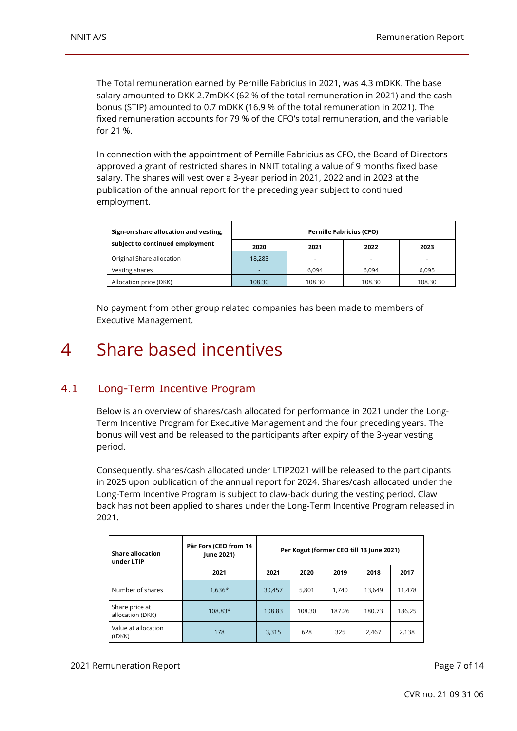The Total remuneration earned by Pernille Fabricius in 2021, was 4.3 mDKK. The base salary amounted to DKK 2.7mDKK (62 % of the total remuneration in 2021) and the cash bonus (STIP) amounted to 0.7 mDKK (16.9 % of the total remuneration in 2021). The fixed remuneration accounts for 79 % of the CFO's total remuneration, and the variable for 21 %.

In connection with the appointment of Pernille Fabricius as CFO, the Board of Directors approved a grant of restricted shares in NNIT totaling a value of 9 months fixed base salary. The shares will vest over a 3-year period in 2021, 2022 and in 2023 at the publication of the annual report for the preceding year subject to continued employment.

| Sign-on share allocation and vesting, | <b>Pernille Fabricius (CFO)</b> |                |        |        |  |  |  |  |
|---------------------------------------|---------------------------------|----------------|--------|--------|--|--|--|--|
| subject to continued employment       | 2020                            | 2021           | 2022   | 2023   |  |  |  |  |
| Original Share allocation             | 18.283                          | $\overline{a}$ | ٠      | ۰      |  |  |  |  |
| Vesting shares                        | ۰                               | 6.094          | 6.094  | 6.095  |  |  |  |  |
| Allocation price (DKK)                | 108.30                          | 108.30         | 108.30 | 108.30 |  |  |  |  |

No payment from other group related companies has been made to members of Executive Management.

#### <span id="page-6-1"></span><span id="page-6-0"></span>4 Share based incentives

#### 4.1 Long-Term Incentive Program

Below is an overview of shares/cash allocated for performance in 2021 under the Long-Term Incentive Program for Executive Management and the four preceding years. The bonus will vest and be released to the participants after expiry of the 3-year vesting period.

Consequently, shares/cash allocated under LTIP2021 will be released to the participants in 2025 upon publication of the annual report for 2024. Shares/cash allocated under the Long-Term Incentive Program is subject to claw-back during the vesting period. Claw back has not been applied to shares under the Long-Term Incentive Program released in 2021.

| <b>Share allocation</b><br>under LTIP | Pär Fors (CEO from 14<br>June 2021) | Per Kogut (former CEO till 13 June 2021) |        |        |        |        |  |  |  |
|---------------------------------------|-------------------------------------|------------------------------------------|--------|--------|--------|--------|--|--|--|
|                                       | 2021                                | 2021                                     | 2020   | 2019   | 2018   | 2017   |  |  |  |
| Number of shares                      | $1,636*$                            | 30,457                                   | 5,801  | 1,740  | 13.649 | 11,478 |  |  |  |
| Share price at<br>allocation (DKK)    | 108.83*                             | 108.83                                   | 108.30 | 187.26 | 180.73 | 186.25 |  |  |  |
| Value at allocation<br>(tDKK)         | 178                                 | 3,315                                    | 628    | 325    | 2.467  | 2,138  |  |  |  |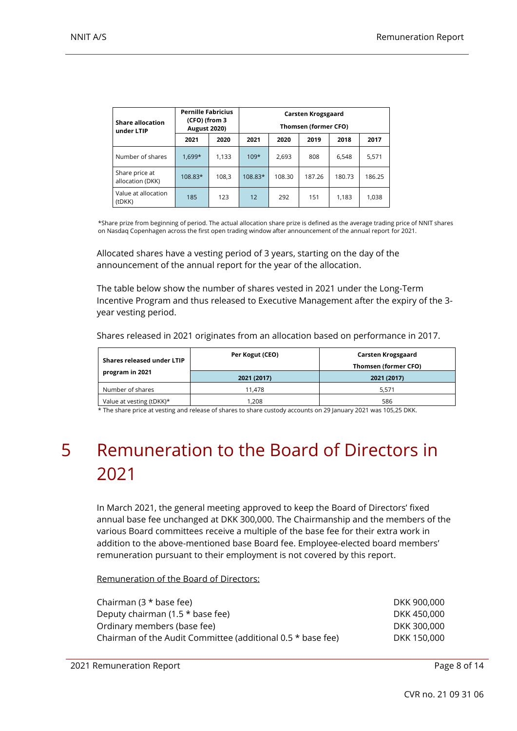| <b>Share allocation</b><br>under LTIP | <b>Pernille Fabricius</b><br>(CFO) (from 3<br><b>August 2020)</b> |       | Carsten Krogsgaard<br>Thomsen (former CFO) |        |        |        |        |  |  |
|---------------------------------------|-------------------------------------------------------------------|-------|--------------------------------------------|--------|--------|--------|--------|--|--|
|                                       | 2021                                                              | 2020  | 2021                                       | 2020   | 2019   | 2018   | 2017   |  |  |
| Number of shares                      | $1.699*$                                                          | 1,133 | $109*$                                     | 2,693  | 808    | 6.548  | 5,571  |  |  |
| Share price at<br>allocation (DKK)    | 108.83*                                                           | 108,3 | 108.83*                                    | 108.30 | 187.26 | 180.73 | 186.25 |  |  |
| Value at allocation<br>(tDKK)         | 185                                                               | 123   | 12                                         | 292    | 151    | 1.183  | 1,038  |  |  |

\*Share prize from beginning of period. The actual allocation share prize is defined as the average trading price of NNIT shares on Nasdaq Copenhagen across the first open trading window after announcement of the annual report for 2021.

Allocated shares have a vesting period of 3 years, starting on the day of the announcement of the annual report for the year of the allocation.

The table below show the number of shares vested in 2021 under the Long-Term Incentive Program and thus released to Executive Management after the expiry of the 3 year vesting period.

| Shares released under LTIP | Per Kogut (CEO) | Carsten Krogsgaard<br>Thomsen (former CFO) |
|----------------------------|-----------------|--------------------------------------------|
| program in 2021            | 2021 (2017)     | 2021 (2017)                                |
| Number of shares           | 11.478          | 5.571                                      |
| Value at vesting (tDKK)*   | 1.208           | 586                                        |

Shares released in 2021 originates from an allocation based on performance in 2017.

\* The share price at vesting and release of shares to share custody accounts on 29 January 2021 was 105,25 DKK.

## <span id="page-7-0"></span>5 Remuneration to the Board of Directors in 2021

In March 2021, the general meeting approved to keep the Board of Directors' fixed annual base fee unchanged at DKK 300,000. The Chairmanship and the members of the various Board committees receive a multiple of the base fee for their extra work in addition to the above-mentioned base Board fee. Employee-elected board members' remuneration pursuant to their employment is not covered by this report.

Remuneration of the Board of Directors:

| Chairman $(3 * base fee)$                                   | DKK 900,000 |
|-------------------------------------------------------------|-------------|
| Deputy chairman $(1.5 * base fee)$                          | DKK 450,000 |
| Ordinary members (base fee)                                 | DKK 300,000 |
| Chairman of the Audit Committee (additional 0.5 * base fee) | DKK 150,000 |
|                                                             |             |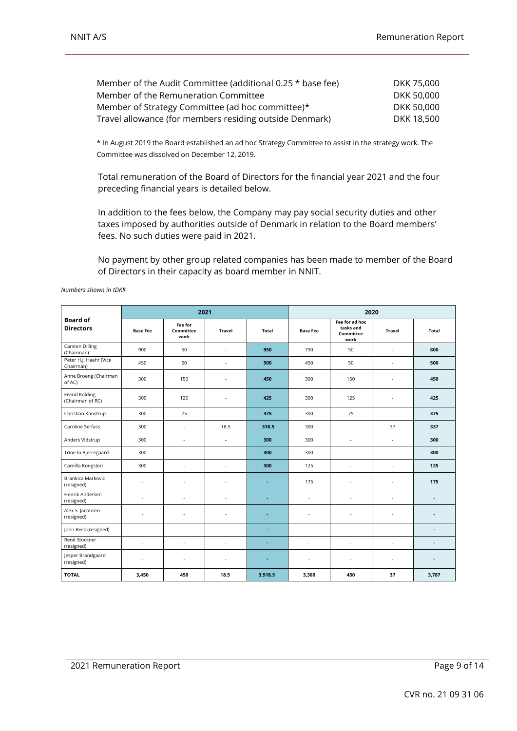| Member of the Audit Committee (additional 0.25 * base fee) | DKK 75,000 |
|------------------------------------------------------------|------------|
| Member of the Remuneration Committee                       | DKK 50,000 |
| Member of Strategy Committee (ad hoc committee)*           | DKK 50,000 |
| Travel allowance (for members residing outside Denmark)    | DKK 18.500 |

\* In August 2019 the Board established an ad hoc Strategy Committee to assist in the strategy work. The Committee was dissolved on December 12, 2019.

Total remuneration of the Board of Directors for the financial year 2021 and the four preceding financial years is detailed below.

In addition to the fees below, the Company may pay social security duties and other taxes imposed by authorities outside of Denmark in relation to the Board members' fees. No such duties were paid in 2021.

No payment by other group related companies has been made to member of the Board of Directors in their capacity as board member in NNIT.

|                                      |                 | 2021                         |               |              | 2020                                              |                          |                                 |                |  |
|--------------------------------------|-----------------|------------------------------|---------------|--------------|---------------------------------------------------|--------------------------|---------------------------------|----------------|--|
| <b>Board of</b><br><b>Directors</b>  | <b>Base Fee</b> | Fee for<br>Committee<br>work | <b>Travel</b> | <b>Total</b> | tasks and<br><b>Base Fee</b><br>Committee<br>work |                          | Fee for ad hoc<br><b>Travel</b> |                |  |
| <b>Carsten Dilling</b><br>(Chairman) | 900             | 50                           | ä,            | 950          | 750                                               | 50                       | ×                               | 800            |  |
| Peter H.J. Haahr (Vice<br>Chairman)  | 450             | 50                           | ×,            | 500          | 450                                               | 50                       | ×,                              | 500            |  |
| Anne Broeng (Chairman<br>of AC)      | 300             | 150                          | ä,            | 450          | 300                                               | 150                      | ×,                              | 450            |  |
| Eivind Kolding<br>(Chairman of RC)   | 300             | 125                          | ä,            | 425          | 300                                               | 125                      | ×                               | 425            |  |
| Christian Kanstrup                   | 300             | 75                           | ä,            | 375          | 300                                               | 75                       | $\sim$                          | 375            |  |
| Caroline Serfass                     | 300             | ÷                            | 18.5          | 318.5        | 300                                               |                          | 37                              | 337            |  |
| Anders Vidstrup                      | 300             | ÷.                           | ÷.            | 300          | 300                                               | ä,                       | ÷.                              | 300            |  |
| Trine Io Bjerregaard                 | 300             | ٠                            | ä,            | 300          | 300                                               | ÷.                       | $\sim$                          | 300            |  |
| Camilla Kongsted                     | 300             | ÷.                           | ä,            | 300          | 125                                               | ä,                       | ×.                              | 125            |  |
| Brankica Markovic<br>(resigned)      | ÷.              | ×                            | ä,            | ٠            | 175                                               | ٠                        | ×                               | 175            |  |
| Henrik Andersen<br>(resigned)        | ä,              |                              | ä,            |              | ×,                                                | ä,                       | ×,                              | ٠              |  |
| Alex S. Jacobsen<br>(resigned)       | ä,              |                              | ä,            | ÷            | ×,                                                | ٠                        | ×,                              | ٠              |  |
| John Beck (resigned)                 | ÷.              | ×                            | ×,            | ÷            | $\sim$                                            | $\overline{\phantom{a}}$ | $\sim$                          | $\blacksquare$ |  |
| René Stockner<br>(resigned)          | ä,              |                              | ä,            | ٠            | ×,                                                | ä,                       | ×,                              | ٠              |  |
| Jesper Brandgaard<br>(resigned)      | ÷.              | ×                            | ÷.            | ٠            | ×,                                                | ÷.                       | $\sim$                          | ٠              |  |
| <b>TOTAL</b>                         | 3,450           | 450                          | 18.5          | 3,918.5      | 3,300                                             | 450                      | 37                              | 3,787          |  |

*Numbers shown in tDKK*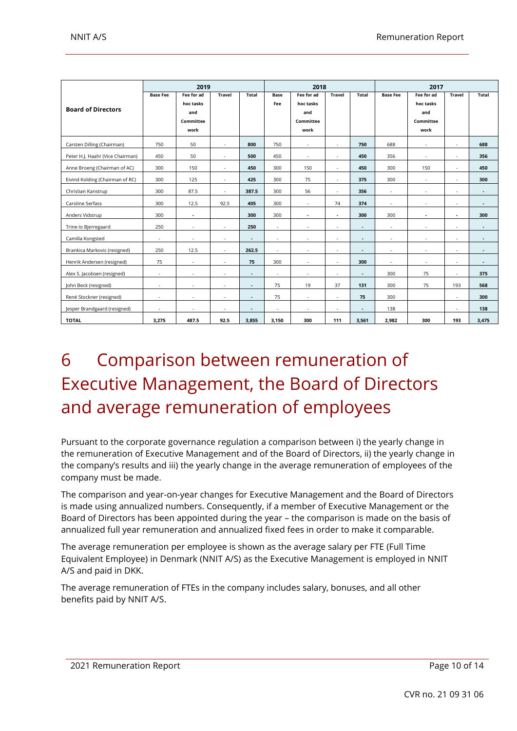|                                  | 2019            |                                                     |                          |                | 2018               |                                                     |               |                | 2017            |                                                     |                |                |
|----------------------------------|-----------------|-----------------------------------------------------|--------------------------|----------------|--------------------|-----------------------------------------------------|---------------|----------------|-----------------|-----------------------------------------------------|----------------|----------------|
| <b>Board of Directors</b>        | <b>Base Fee</b> | Fee for ad<br>hoc tasks<br>and<br>Committee<br>work | <b>Travel</b>            | Total          | <b>Base</b><br>Fee | Fee for ad<br>hoc tasks<br>and<br>Committee<br>work | <b>Travel</b> | <b>Total</b>   | <b>Base Fee</b> | Fee for ad<br>hoc tasks<br>and<br>Committee<br>work | <b>Travel</b>  | <b>Total</b>   |
| Carsten Dilling (Chairman)       | 750             | 50                                                  | ×,                       | 800            | 750                | ٠                                                   | $\sim$        | 750            | 688             | ٠                                                   | ٠              | 688            |
| Peter H.J. Haahr (Vice Chairman) | 450             | 50                                                  | ٠                        | 500            | 450                | $\sim$                                              | $\sim$        | 450            | 356             | $\sim$                                              | $\sim$         | 356            |
| Anne Broeng (Chairman of AC)     | 300             | 150                                                 | $\overline{\phantom{a}}$ | 450            | 300                | 150                                                 | $\sim$        | 450            | 300             | 150                                                 | $\sim$         | 450            |
| Eivind Kolding (Chairman of RC)  | 300             | 125                                                 | ٠                        | 425            | 300                | 75                                                  | $\sim$        | 375            | 300             | $\sim$                                              | $\sim$         | 300            |
| Christian Kanstrup               | 300             | 87.5                                                | ÷                        | 387.5          | 300                | 56                                                  | $\sim$        | 356            | $\sim$          | $\sim$                                              | $\sim$         | $\blacksquare$ |
| Caroline Serfass                 | 300             | 12.5                                                | 92.5                     | 405            | 300                | $\sim$                                              | 74            | 374            | $\sim$          | $\sim$                                              | $\sim$         | ٠              |
| Anders Vidstrup                  | 300             | $\blacksquare$                                      |                          | 300            | 300                | $\sim$                                              | $\sim$        | 300            | 300             | $\sim$                                              | $\blacksquare$ | 300            |
| Trine lo Bjerregaard             | 250             | ٠                                                   | ×,                       | 250            | $\sim$             | ×                                                   | ×             | $\sim$         | $\sim$          | ٠                                                   | ٠              | ٠              |
| Camilla Kongsted                 | ×               | ×.                                                  | ÷                        | ٠              | $\sim$             | ×                                                   | ٠             | ×.             | ٠               | ×,                                                  | $\sim$         | ٠              |
| Brankica Markovic (resigned)     | 250             | 12.5                                                | ×,                       | 262.5          | $\sim$             | ×                                                   | ×             | ×.             | ×.              | ٠                                                   | ٠              | ٠              |
| Henrik Andersen (resigned)       | 75              | ×.                                                  | ÷                        | 75             | 300                | $\sim$                                              | ÷.            | 300            | $\sim$          | ٠                                                   | $\sim$         | ٠              |
| Alex S. Jacobsen (resigned)      | ٠               | ٠                                                   | ٠                        | ٠              | $\sim$             | ٠                                                   | ٠             | $\blacksquare$ | 300             | 75                                                  | $\sim$         | 375            |
| John Beck (resigned)             |                 | ٠                                                   | ٠                        | $\blacksquare$ | 75                 | 19                                                  | 37            | 131            | 300             | 75                                                  | 193            | 568            |
| René Stockner (resigned)         | $\sim$          | ٠                                                   | ٠                        | $\blacksquare$ | 75                 | $\sim$                                              | $\sim$        | 75             | 300             |                                                     | $\sim$         | 300            |
| Jesper Brandgaard (resigned)     | ٠               | ٠                                                   | ٠                        | ٠              | $\sim$             | ٠                                                   | ٠             | $\blacksquare$ | 138             |                                                     | $\sim$         | 138            |
| <b>TOTAL</b>                     | 3,275           | 487.5                                               | 92.5                     | 3,855          | 3,150              | 300                                                 | 111           | 3,561          | 2,982           | 300                                                 | 193            | 3,475          |

## <span id="page-9-0"></span>6 Comparison between remuneration of Executive Management, the Board of Directors and average remuneration of employees

Pursuant to the corporate governance regulation a comparison between i) the yearly change in the remuneration of Executive Management and of the Board of Directors, ii) the yearly change in the company's results and iii) the yearly change in the average remuneration of employees of the company must be made.

The comparison and year-on-year changes for Executive Management and the Board of Directors is made using annualized numbers. Consequently, if a member of Executive Management or the Board of Directors has been appointed during the year – the comparison is made on the basis of annualized full year remuneration and annualized fixed fees in order to make it comparable.

The average remuneration per employee is shown as the average salary per FTE (Full Time Equivalent Employee) in Denmark (NNIT A/S) as the Executive Management is employed in NNIT A/S and paid in DKK.

The average remuneration of FTEs in the company includes salary, bonuses, and all other benefits paid by NNIT A/S.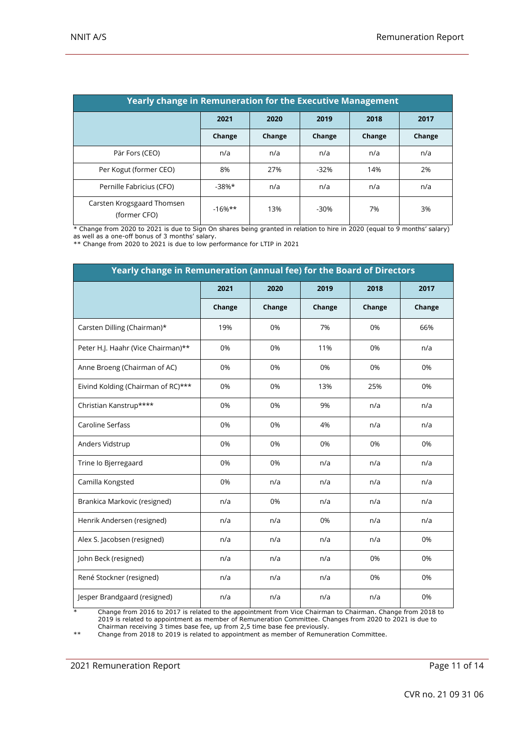| <b>Yearly change in Remuneration for the Executive Management</b> |           |        |        |        |        |
|-------------------------------------------------------------------|-----------|--------|--------|--------|--------|
|                                                                   | 2021      | 2020   | 2019   | 2018   | 2017   |
|                                                                   | Change    | Change | Change | Change | Change |
| Pär Fors (CEO)                                                    | n/a       | n/a    | n/a    | n/a    | n/a    |
| Per Kogut (former CEO)                                            | 8%        | 27%    | $-32%$ | 14%    | 2%     |
| Pernille Fabricius (CFO)                                          | $-38%$ *  | n/a    | n/a    | n/a    | n/a    |
| Carsten Krogsgaard Thomsen<br>(former CFO)                        | $-16%$ ** | 13%    | $-30%$ | 7%     | 3%     |

\* Change from 2020 to 2021 is due to Sign On shares being granted in relation to hire in 2020 (equal to 9 months' salary) as well as a one-off bonus of 3 months' salary.

\*\* Change from 2020 to 2021 is due to low performance for LTIP in 2021

| Yearly change in Remuneration (annual fee) for the Board of Directors |        |        |        |        |        |
|-----------------------------------------------------------------------|--------|--------|--------|--------|--------|
|                                                                       | 2021   | 2020   | 2019   | 2018   | 2017   |
|                                                                       | Change | Change | Change | Change | Change |
| Carsten Dilling (Chairman)*                                           | 19%    | 0%     | 7%     | 0%     | 66%    |
| Peter H.J. Haahr (Vice Chairman)**                                    | 0%     | 0%     | 11%    | 0%     | n/a    |
| Anne Broeng (Chairman of AC)                                          | 0%     | 0%     | 0%     | 0%     | 0%     |
| Eivind Kolding (Chairman of RC)***                                    | 0%     | 0%     | 13%    | 25%    | 0%     |
| Christian Kanstrup****                                                | 0%     | 0%     | 9%     | n/a    | n/a    |
| Caroline Serfass                                                      | 0%     | 0%     | 4%     | n/a    | n/a    |
| Anders Vidstrup                                                       | 0%     | 0%     | 0%     | 0%     | 0%     |
| Trine Io Bjerregaard                                                  | 0%     | 0%     | n/a    | n/a    | n/a    |
| Camilla Kongsted                                                      | 0%     | n/a    | n/a    | n/a    | n/a    |
| Brankica Markovic (resigned)                                          | n/a    | 0%     | n/a    | n/a    | n/a    |
| Henrik Andersen (resigned)                                            | n/a    | n/a    | 0%     | n/a    | n/a    |
| Alex S. Jacobsen (resigned)                                           | n/a    | n/a    | n/a    | n/a    | 0%     |
| John Beck (resigned)                                                  | n/a    | n/a    | n/a    | 0%     | 0%     |
| René Stockner (resigned)                                              | n/a    | n/a    | n/a    | 0%     | 0%     |
| Jesper Brandgaard (resigned)                                          | n/a    | n/a    | n/a    | n/a    | 0%     |

\* Change from 2016 to 2017 is related to the appointment from Vice Chairman to Chairman. Change from 2018 to 2019 is related to appointment as member of Remuneration Committee. Changes from 2020 to 2021 is due to Chairman receiving 3 times base fee, up from 2,5 time base fee previously.

\*\* Change from 2018 to 2019 is related to appointment as member of Remuneration Committee.

2021 Remuneration Report **Page 11 of 14**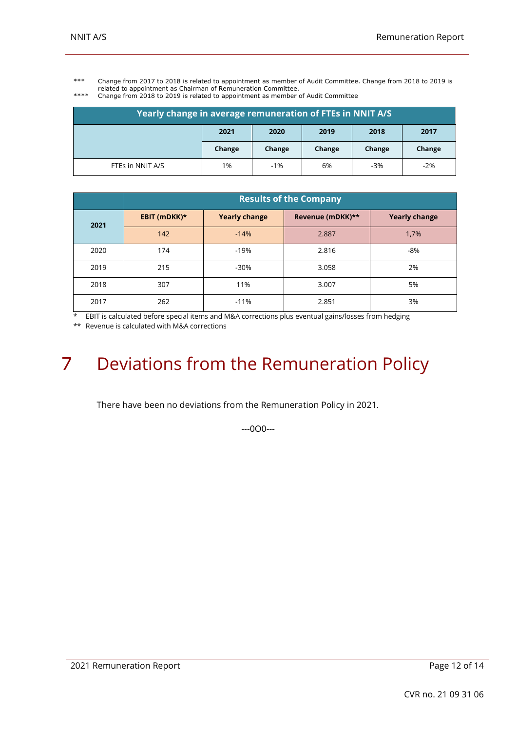\*\*\* Change from 2017 to 2018 is related to appointment as member of Audit Committee. Change from 2018 to 2019 is related to appointment as Chairman of Remuneration Committee.

| **** | Change from 2018 to 2019 is related to appointment as member of Audit Committee |
|------|---------------------------------------------------------------------------------|
|      |                                                                                 |

| Yearly change in average remuneration of FTEs in NNIT A/S |        |        |        |        |        |
|-----------------------------------------------------------|--------|--------|--------|--------|--------|
|                                                           | 2021   | 2020   | 2019   | 2018   | 2017   |
|                                                           | Change | Change | Change | Change | Change |
| FTEs in NNIT A/S                                          | 1%     | $-1%$  | 6%     | $-3%$  | $-2%$  |

|      | <b>Results of the Company</b> |                      |                  |                      |  |  |
|------|-------------------------------|----------------------|------------------|----------------------|--|--|
| 2021 | EBIT (mDKK)*                  | <b>Yearly change</b> | Revenue (mDKK)** | <b>Yearly change</b> |  |  |
|      | 142                           | $-14%$               | 2.887            | 1,7%                 |  |  |
| 2020 | 174                           | $-19%$               | 2.816            | -8%                  |  |  |
| 2019 | 215                           | $-30%$               | 3.058            | 2%                   |  |  |
| 2018 | 307                           | 11%                  | 3.007            | 5%                   |  |  |
| 2017 | 262                           | $-11%$               | 2.851            | 3%                   |  |  |

\* EBIT is calculated before special items and M&A corrections plus eventual gains/losses from hedging

\*\* Revenue is calculated with M&A corrections

# <span id="page-11-0"></span>7 Deviations from the Remuneration Policy

There have been no deviations from the Remuneration Policy in 2021.

---0O0---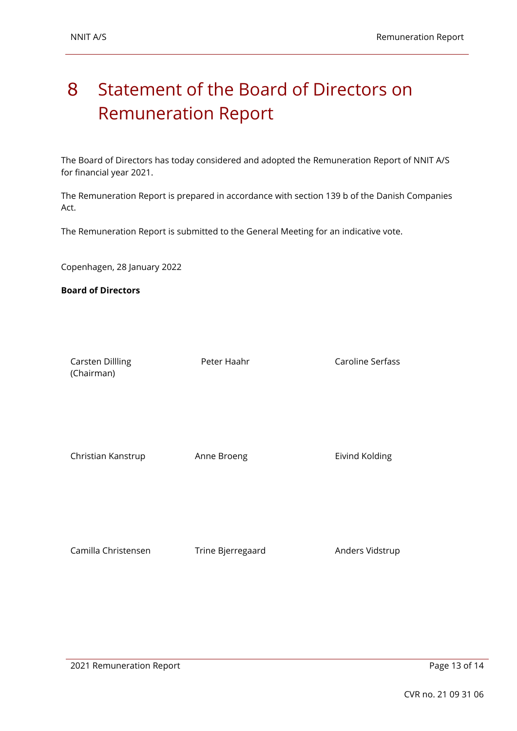## <span id="page-12-0"></span>8 Statement of the Board of Directors on Remuneration Report

The Board of Directors has today considered and adopted the Remuneration Report of NNIT A/S for financial year 2021.

The Remuneration Report is prepared in accordance with section 139 b of the Danish Companies Act.

The Remuneration Report is submitted to the General Meeting for an indicative vote.

Copenhagen, 28 January 2022

**Board of Directors**

Carsten Dillling (Chairman)

Peter Haahr Caroline Serfass

Christian Kanstrup **Anne Broeng Eivind Kolding** 

Camilla Christensen Trine Bjerregaard Anders Vidstrup